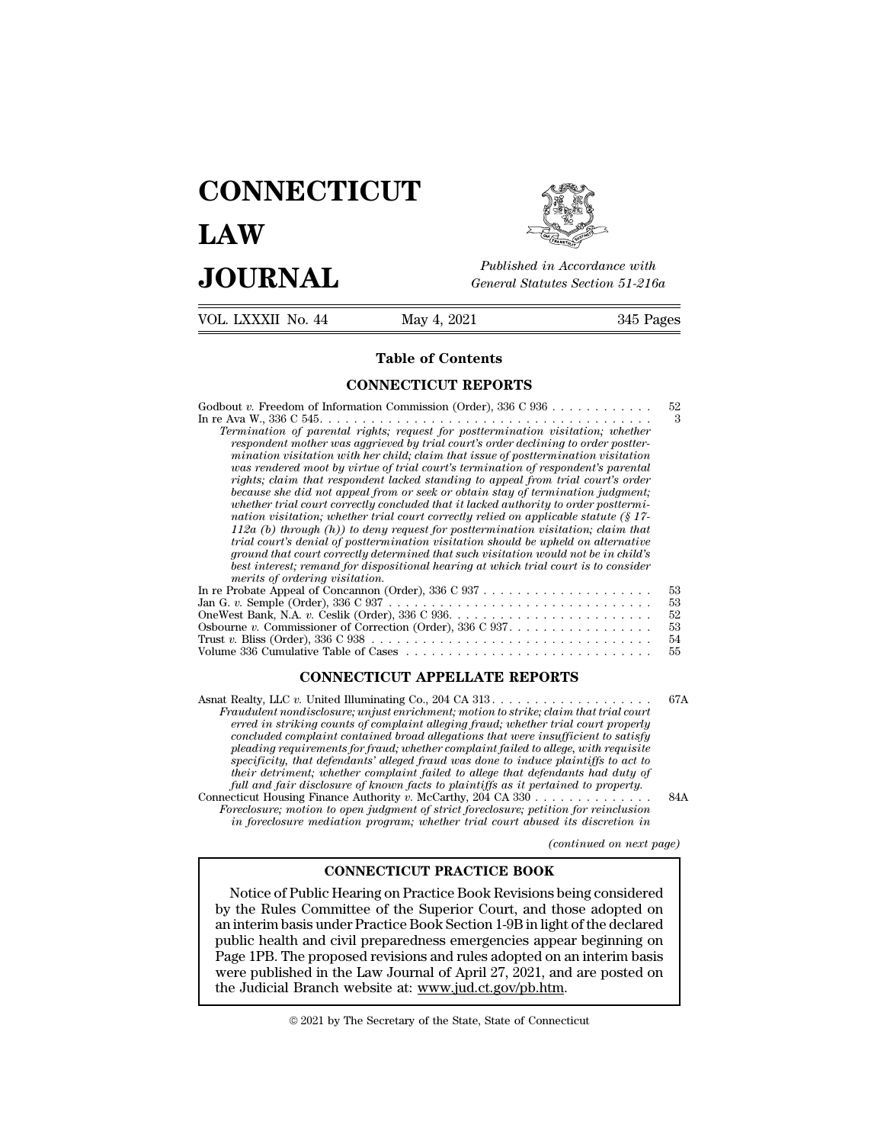## **CONNECTICUT LAW PUBLICE CONNECTICUT**<br> **Published in Accordance with**<br> **JOURNAL** *General Statutes Section 51-216a*<br> **Published in Accordance with**  $\begin{array}{cc}\n\textbf{LAW} & \overbrace{\text{Fubble} \text{m} \text{m}}\n\end{array}$ <br>  $\begin{array}{cc}\n\textbf{JOL RNAL} & \textbf{Pubits in According to 51-216a} \\
\hline\n\textbf{VOL LXXXII No. 44} & \textbf{May 4, 2021} & \textbf{345 Pages}\n\end{array}$



Published in A.<br>
General Statutes<br>
May 4, 2021<br> **Table of Contents**<br> **Table of Contents** 

| JUUKNAL                        | General Statutes Section 51-216a                                                                                                                                                                                                                                                                                                                                                                                                                                                                                                                                                                                                                                                                                                                                                                                                                                                                                                                                                                                                                                                                                                              |                                  |  |
|--------------------------------|-----------------------------------------------------------------------------------------------------------------------------------------------------------------------------------------------------------------------------------------------------------------------------------------------------------------------------------------------------------------------------------------------------------------------------------------------------------------------------------------------------------------------------------------------------------------------------------------------------------------------------------------------------------------------------------------------------------------------------------------------------------------------------------------------------------------------------------------------------------------------------------------------------------------------------------------------------------------------------------------------------------------------------------------------------------------------------------------------------------------------------------------------|----------------------------------|--|
| VOL. LXXXII No. 44             | May 4, 2021                                                                                                                                                                                                                                                                                                                                                                                                                                                                                                                                                                                                                                                                                                                                                                                                                                                                                                                                                                                                                                                                                                                                   | 345 Pages                        |  |
|                                | <b>Table of Contents</b>                                                                                                                                                                                                                                                                                                                                                                                                                                                                                                                                                                                                                                                                                                                                                                                                                                                                                                                                                                                                                                                                                                                      |                                  |  |
|                                | <b>CONNECTICUT REPORTS</b>                                                                                                                                                                                                                                                                                                                                                                                                                                                                                                                                                                                                                                                                                                                                                                                                                                                                                                                                                                                                                                                                                                                    |                                  |  |
| merits of ordering visitation. | Godbout v. Freedom of Information Commission (Order), $336$ C $936$<br>Termination of parental rights; request for posttermination visitation; whether<br>respondent mother was aggrieved by trial court's order declining to order postter-<br>mination visitation with her child; claim that issue of posttermination visitation<br>was rendered moot by virtue of trial court's termination of respondent's parental<br>rights; claim that respondent lacked standing to appeal from trial court's order<br>because she did not appeal from or seek or obtain stay of termination judgment;<br>whether trial court correctly concluded that it lacked authority to order posttermi-<br>nation visitation; whether trial court correctly relied on applicable statute $(\S 17 -$<br>112a (b) through $(h)$ ) to deny request for posttermination visitation; claim that<br>trial court's denial of posttermination visitation should be upheld on alternative<br>ground that court correctly determined that such visitation would not be in child's<br>best interest; remand for dispositional hearing at which trial court is to consider | 52<br>3                          |  |
|                                | Jan G. v. Semple (Order), $336 \text{ C } 937 \ldots \ldots \ldots \ldots \ldots \ldots \ldots \ldots \ldots \ldots \ldots \ldots$<br>Osbourne v. Commissioner of Correction (Order), $336$ C $937$                                                                                                                                                                                                                                                                                                                                                                                                                                                                                                                                                                                                                                                                                                                                                                                                                                                                                                                                           | 53<br>53<br>52<br>53<br>54<br>55 |  |
|                                | <b>CONNECTICUT APPELLATE REPORTS</b>                                                                                                                                                                                                                                                                                                                                                                                                                                                                                                                                                                                                                                                                                                                                                                                                                                                                                                                                                                                                                                                                                                          |                                  |  |
|                                | Asnat Realty, LLC v. United Illuminating Co., 204 CA $313$<br>Fraudulent nondisclosure; unjust enrichment; motion to strike; claim that trial court<br>erred in striking counts of complaint alleging froud: whether trial court properly                                                                                                                                                                                                                                                                                                                                                                                                                                                                                                                                                                                                                                                                                                                                                                                                                                                                                                     | 67A                              |  |

**Fraudulent nondisclosure; unjust enrichment; motion to strike; claim that trial court**<br>Fraudulent nondisclosure; unjust enrichment; motion to strike; claim that trial court<br>erred in striking counts of complaint alleging f *erred in striking counts of complaint alleging fraud; whether trial court properly* pleading requirements for fraud; whether complaint failed to allege, with requisite *pleading requirements for frauding requirements for frauding requirements for frauding requirements for frauding requirements for frauding fraud; whether trial court erred in striking counts of complaint alleging fraud;* **SPECIFICUT APPELLATE REPORTS**<br> **Realty, LLC v. United Illuminating Co., 204 CA 313.**<br> *saudulent nondisclosure; unjust enrichment; motion to strike; claim that trial court*<br> *erred in striking counts of complaint alleging* **Fractiverage in the interpretation of the complement;** and the failurent modisclosure; unjust enrichment; motion to strike; claim that trial court erred in striking counts of complaint alleging fraud; whether trial court *full and fair disclosure; unjust enrichment; motion to strike; claim that trial court property erred in striking counts of complaint dleging fraud; whether trial court property concluded complaint contained broad allegati* Fraudulent nondisclosure; unjust enrichment; motion to strike; claim that trial court<br>erred in striking counts of complaint alleging fraud; whether trial court properly<br>concluded complaint contained broad allegations that *Foreclosure; motion to operation to the periodical complaint contained broad allegations that were insufficient to satisfy pleading requirements for fraud; whether complaint failed to allege, with requisite specificity, t concluded complaint contained broad allegations that were insulficient to satisfy*<br>pleading requirements for fraud; whether complaint failed to allege, with requisite<br>specificity, that defendants' alleged fraud was done t *(e)* plaintiffs to act to<br>mdants had duty of<br>inned to property.<br>tion for reinclusion<br>ed its discretion in<br>(continued on next page)<br>z **CONNECTICUT PRACTICE BOOK**

Notice of Public Hearing on Practice Book Revisions being considered Foreclosure; motion to open judgment of strict foreclosure; petition for reinclusion<br>in foreclosure; motion to open judgment of strict foreclosure; petition for reinclusion<br>in foreclosure mediation program; whether trial c in foreclosure mediation program; whether trial court abused its discretion in<br>
(continued on next page)<br>
CONNECTICUT PRACTICE BOOK<br>
Notice of Public Hearing on Practice Book Revisions being considered<br>
by the Rules Commit (continued on next page)<br> **CONNECTICUT PRACTICE BOOK**<br>
Notice of Public Hearing on Practice Book Revisions being considered<br>
by the Rules Committee of the Superior Court, and those adopted on<br>
an interim basis under Practi **CONNECTICUT PRACTICE BOOK**<br>
Notice of Public Hearing on Practice Book Revisions being considered<br>
by the Rules Committee of the Superior Court, and those adopted on<br>
an interim basis under Practice Book Section 1-9B in l **CONNECTICUT PRACTICE BOOK**<br>Notice of Public Hearing on Practice Book Revisions being considered<br>by the Rules Committee of the Superior Court, and those adopted on<br>an interim basis under Practice Book Section 1-9B in light Notice of Public Hearing on Practice Book Revisions being c<br>by the Rules Committee of the Superior Court, and those aa<br>an interim basis under Practice Book Section 1-9B in light of th<br>public health and civil preparedness public health and civil preparedness emergencies appear beginning on<br>Page 1PB. The proposed revisions and rules adopted on an interim basis<br>were published in the Law Journal of April 27, 2021, and are posted on<br>the Judicia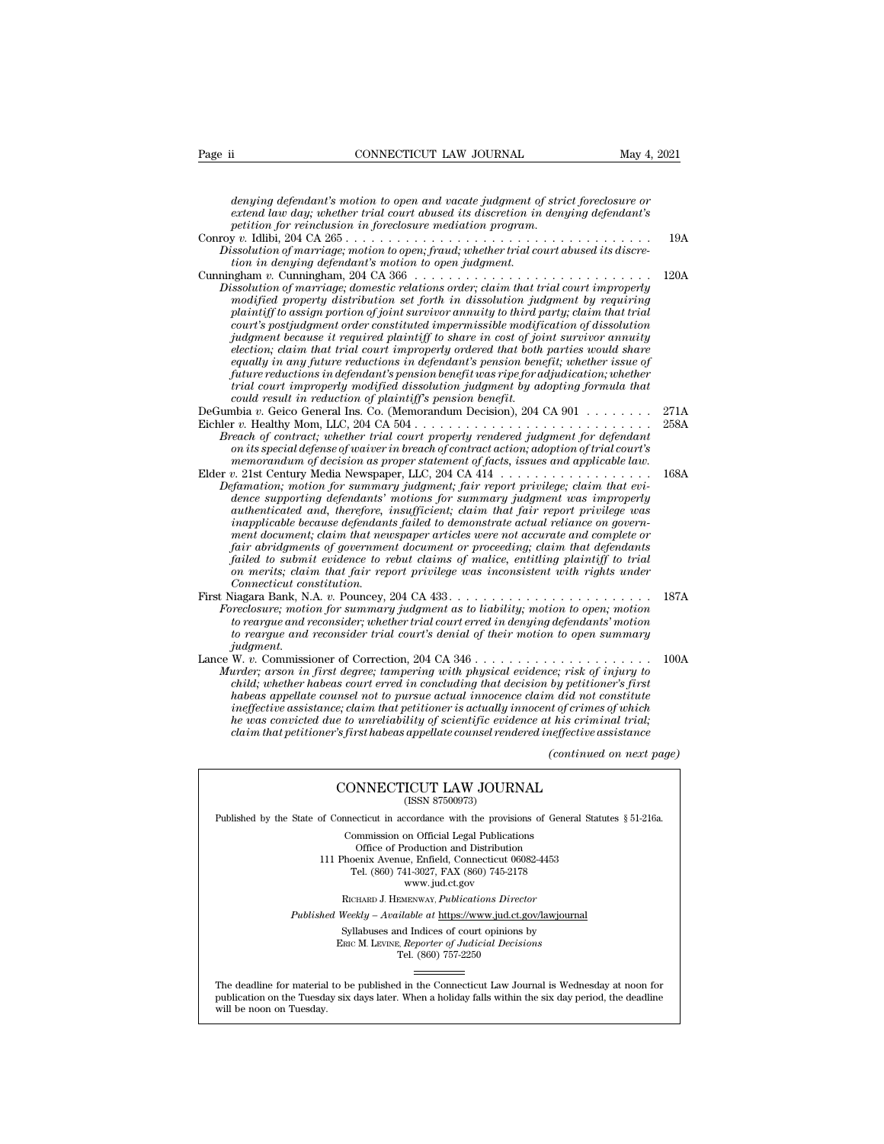*denying defendant's motion to open and vacate judgment of strict foreclosure or*<br>*denying defendant's motion to open and vacate judgment of strict foreclosure or*<br>*extend law day; whether trial court abused its discretion extend of the convention in convention in to open and vacate judgment of strict foreclosure or*<br>*denying defendant's motion to open and vacate judgment of strict foreclosure or*<br>*petition for reinclusion in foreclosure me period of reincential connection for reinclusion for reinclusion in dependant's motion to open and vacate judgment of striested law day; whether trial court abused its discretion in dengthe profiling to the continuo progr* Page ii **v.** CONNECTICUT LAW JOURNAL May 4, 2021<br>
denying defendant's motion to open and vacate judgment of strict foreclosure or<br>
extend law day; whether trial court abused its discretion in denying defendant's<br>
petition *denying defendant's motion to open and vacate judgment of strict foreclosure or*<br>extend law day; whether trial court abused its discretion in denying defendant's<br>petition for reinclusion in foreclosure mediation program.<br> denying defendant's motion to open and vacate judgment of strict foreclosure or<br>extend law day; whether trial court abused its discretion in denying defendant's<br>petition for reinclusion in foreclosure mediation program.<br>Co denying defendant's motion to open and vacate judgment of strict foreclosure or<br>extend law day; whether trial court abused its discretion in denying defendant's<br>petition for reinclusion in foreclosure mediation program.<br>Co *Dissolution of marriage; domestic relations order; claim that trial court improperly modified property distribution set forth in dissolution for reinching periaming periaming periaming periaming periaming periaming periaming periaming ty requiring the solution of marriage, motion to open, fraud, whether t plaintiff to assign portion of joint survivor annuity to third party; claim that trial courting to the constituted impermissible modification of marriage; notion to open, fraud; whether trial court abused its discretion in denying defendant's motion to open judgment.*<br>
Icon in denying defendant's motion to *judgment because it required plaintiff to share in cost of joint survivor annuity election; claim to the minimal court improperly determined that trial court improperly solution of marriage; domestic relations order; claim that trial court improperly modified property distribution set forth in dissolut* 120*4*<br>*emailion of marriage; domestic relations order; claim that trial court improperly<br>asolution of marriage; domestic relations order; claim that trial court improperly<br>plaintiff to assign portion of joint survivor ann fully and the marriage; domestic relations order; claim that trial court improperty*<br>prodified property distribution set forth in dissolution judgment by requiring<br>plaintiff to assign portion of joint survivor annuity to *trial property distribution set forth in dissolution judgment by requiring plaintiff to assign portion of joint survivor annuity to third party; claim that trial court's postjudgment order constituted impermissible modifi* planntyf to assign portion of joint survivor annuity to third p<br>court's postjudgment order constituted impermissible modify<br>indigment because it required plaintiff to share in cost of joi<br>election; claim that trial court i court's postplagment order constituted impermissiole modification of also<br>altrichard because it required plaintiff to share in cost of joint survivor annuity<br>election; claim that trial court improperly ordered that both pa Fully ment because the required paintiff to share in cost of form survivor annuity<br>election; claim that trial court improperly ordered that both parties would share<br>equally in any future reductions in defendant's pension b *Breach of contractions in defendant's pension benefit was right of the fendant's pension benefit whether issue of future reductions in defendant's pension benefit was ripe for adjudication; whether trial court improperly on its special defendant's persion of the fendant's persion of the trial court improperly modified dissolution judgment by adopting formula that* trial court improperly modified dissolution judgment by adopting formula th *mure reductions in defendant s pension denefit was ripe for daryated tion, whether*<br> *could result in reduction of plaintiff's pension benefit.*<br> *mbia v.* Geico General Ins. Co. (Memorandum Decision), 204 CA 901<br> *mbia v* Fractional results in reduction of plaintiff's persion benefit.<br>
DeGumbia v. Geico General Ins. Co. (Memorandum Decision), 204 CA 901<br>
DeGumbia v. Geico General Ins. Co. (Memorandum Decision), 204 CA 901<br>
Eichler v. Health *Defamation; Geico General Ins. Co. (Memorandum Decision), 204 CA 901*<br> *Defamation D. Geico General Ins. Co. (Memorandum Decision), 204 CA 901*<br> *Defanation is special defense of waiver in breach of contract action; ado dence supporting defendants' motions for summary judgment was improperly authenticated and, therefore, insufficient; claim that fair report privilege was inappearant of contract; whether trial court property rendered judgment for defendant* on its special defense of waiver in breach of contract action; adoption of trial court's memorandum of decision as proper statement of *maxim or als special agense of warver in oreach of contract action; adoption of trial courts*<br>memorandum of decision as proper statement of facts, issues and applicable law.<br> $\alpha$ . 21st Century Media Newspaper, LLC, 204 CA *fair abridgment of decision as proper statement of Jacts, issues and applicable law.*<br>  $f_2$  and  $f_3$  and  $f_4$  and  $f_5$  and  $f_6$  and  $f_7$  are  $f_7$  and  $f_8$  are  $f_7$  and  $f_8$  are  $f_9$  and  $f_9$  and  $f_9$  and  $f_9$ *famation*; motion for summary judgment; fair report privilege; claim that evidence supporting defendants' motions for summary independent was improperly dence supporting defendants' motions for summary judgment was improp *on merits; motion for summary judgment; fair report privilege; claim that evidence supporting defendants' motions for summary judgment was improperly and therefore, insufficient; claim that fair report privilege was inapp Connecticuted and, therefore, insufficient; claim that fair report privilege was<br>inapplicable because defendants failed to demonstrate actual reliance on govern-<br>ment document; claim that newspaper articles were not accur* maturenticated and, therefore, insufficient; claim that fair report privilege was<br>inapplicable because defendants failed to demonstrate actual relaince on govern-<br>ment document; claim that newspaper articles were not accur *Foreclosure is and mean transportants and community and the mean document; claim that newspaper articles were not accurate and complete or fair abridgments of government document or proceeding; claim that defendants faile* ment aocument; ciaim inat newspaper articles were not accurate and complete or<br>fair abridgments of government document or proceeding; claim that defendants<br>failed to submit evidence to rebut chaims of malice, entitling pla *to reargue and reconsidering to reargue and reconsidering trial to submit evidence to rebut claims of malice, entitling plaintiff to trial on merits; claim that fair report privilege was inconsistent with rights under Con judgment.*<br>Lance W. v. Commissioner of Correction, 204 CA 346 . . . Lance W. *v.* Commissioner of Correction, 204 CA 346 . . . . . . . . . . . . . . . . . . . . . 100A *Murder; arson in first with the meetical evidence; are the indicate are alsak, N.A. v. Pouchase are the foreclosure; motion to reargue and reconsider; whether trial court erred in denying defendants' motion to reargue and child; whether motion for summary judgment as to liability; motion to reargue and reconsider; whether trial court erred in denying defendants' motion to reargue and reconsider; whether trial court's denial of their motion habeas appellate counsel in the method in the marge actual incred in denying defendants' motion*<br>to reargue and reconsider; whether trial court erred in denying defendants' motion<br>to reargue and reconsider trial court's d *ineffective assistance; claim that petitioner is actually innocent of crimes of which he was convicted due to unreliability of scientific evidence at his criminal trial; claim that petitioner of Correction, 204 CA 346*<br>*child; v. Commissioner of Correction, 204 CA 346*<br>*child; whether habeas court erred in concluding that decision by petitioner's first<br>habeas appellate counsel not to purs (ce<sub>i</sub>* risk of injury to<br>by petitioner's first<br>in did not constitute<br>to forimes of which<br>this criminal trial;<br>neffective assistance<br>(continued on next page) s court erred in concluding that decision by petitioner<br>msel not to pursue actual innocence claim did not cone;<br>claim that petitioner is actually innocent of crimes op<br>to to unreliability of scientific evidence at his crim he was convicted due to unreliability of scientific evidence at his criminal trial;<br>claim that petitioner's first habeas appellate counsel rendered ineffective assistance<br>(continued on next<br>CONNECTICUT LAW JOURNAL<br>(ISSN 87 Published by the State of Connecticut in accordance with the provisions of General Statutes § 51-216a. CONNECTICUT LAW JOURNAL<br>
(ISSN 87500973)<br>
inecticut in accordance with the provisions of Gener<br>
Commission on Official Legal Publications<br>
Office of Production and Distribution<br>
office of Production and Distribution

**NNECTICUT LAW JOURNAL**<br>
(ISSN 87500973)<br>
cticut in accordance with the provisions of Gener<br>
mmission on Official Legal Publications<br>
Office of Production and Distribution<br>
centra Avenue, Enfield, Connecticut 06082-4453<br>
b CONNECTICUT LAW JOURNAL<br>
(ISSN 87500973)<br>
of Connecticut in accordance with the provisions of General Statu<br>
Commission on Official Legal Publications<br>
Office of Production and Distribution<br>
111 Phoenix Avenue, Enfield, Co  $\begin{array}{l} \hbox{(ISSN 87500973)}\\ \hbox{eccicut in accordance with the provisions of Gener\\ \hbox{ommission on Official Legal Publications} \\ \hbox{Office of Production and Distribution} \\ \hbox{oenix Avenue, Enfield, Connecticut 06082-4453} \\ \hbox{Tel. (860) 741-3027, FAX (860) 745-2178} \\ \hbox{www.jud.ct.gov} \end{array}$ reordance with the provision<br>on Official Legal Publication<br>roduction and Distribution<br>e, Enfield, Connecticut 06<br>11-3027, FAX (860) 745-21'<br>www.jud.ct.gov<br>zENWAY, *Publications Dire* Rommission on Official Legal Publications<br>
Office of Production and Distribution<br>
Phoenix Avenue, Enfield, Connecticut 06082-4453<br>
Tel. (860) 741-3027, FAX (860) 745-2178<br>
www.jud.ct.gov<br>
RICHARD J. HEMENWAY, *Publications* Office of Production and Distribution<br>
111 Phoenix Avenue, Enfield, Connecticut 06082-4453<br>
Tel. (860) 741-3027, FAX (860) 745-2178<br>
www.jud.ct.gov<br>
RICHARD J. HEMENWAY, *Publications Director*<br> *Published Weekly – Availab* Phoenix Avenue, Enfield, Connecticut 06082-4453<br>
Tel. (860) 741-3027, FAX (860) 745-2178<br>
www.jud.ct.gov<br>
RICHARD J. HEMENWAY, *Publications Director*<br>
Weekly – Available at <u>https://www.jud.ct.gov/lawjourna</u><br>
Syllabuses a

 $\begin{array}{c} \text{www. judc.t.gov} \\ \text{RICHARD J. HEMENTway, *Publications Director} \\ \text{Weekly - Available at <a href="https://www.judc.t.gov/}{https://www.judc.t.gov/}{https://www.judc.t.gov/}{\small Syllabuses} \text{ and Indices of court opinions by} \\ \text{Enc}\textbf{M.} \text{LEvINE, } \text{Reporter of } \text{Judicial Decisions} \\ \text{Tei.} \text{ (860) } 757\text{-}2250 \end{array}</math>*$ 

Published Weekly – Available at https://www.jud.ct.gov/lawjournal<br>Syllabuses and Indices of court opinions by<br>ERIC M. LEVINE, Reporter of Judicial Decisions<br>The deadline for material to be published in the Connecticut Law  $\begin{tabular}{l} \bf Syllabuses\ and\ Indices\ of\ court\ opinions\ by\\ \bf Enc\ M.\ LevINE,\ \textit{Reporter of\ Judicial\ Decisions}\\ \bf Tel.\ (860)\ 757-2250\\ \end{tabular}$  <br> The deadline for material to be published in the Connecticut Law Journal is Wednesday at noon for publication on the Tuesday six days later The deadline for material<br>publication on the Tuesday.<br>will be noon on Tuesday.